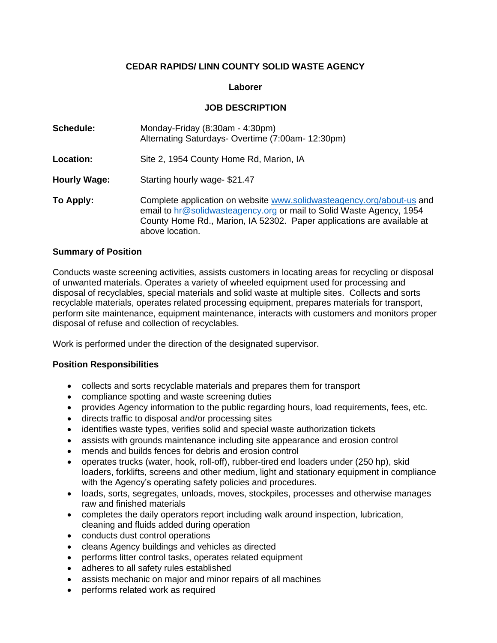# **CEDAR RAPIDS/ LINN COUNTY SOLID WASTE AGENCY**

### **Laborer**

### **JOB DESCRIPTION**

| Schedule:           | Monday-Friday (8:30am - 4:30pm)<br>Alternating Saturdays- Overtime (7:00am- 12:30pm)                                                                                                                                                       |  |
|---------------------|--------------------------------------------------------------------------------------------------------------------------------------------------------------------------------------------------------------------------------------------|--|
| Location:           | Site 2, 1954 County Home Rd, Marion, IA                                                                                                                                                                                                    |  |
| <b>Hourly Wage:</b> | Starting hourly wage-\$21.47                                                                                                                                                                                                               |  |
| To Apply:           | Complete application on website www.solidwasteagency.org/about-us and<br>email to hr@solidwasteagency.org or mail to Solid Waste Agency, 1954<br>County Home Rd., Marion, IA 52302. Paper applications are available at<br>above location. |  |

#### **Summary of Position**

Conducts waste screening activities, assists customers in locating areas for recycling or disposal of unwanted materials. Operates a variety of wheeled equipment used for processing and disposal of recyclables, special materials and solid waste at multiple sites. Collects and sorts recyclable materials, operates related processing equipment, prepares materials for transport, perform site maintenance, equipment maintenance, interacts with customers and monitors proper disposal of refuse and collection of recyclables.

Work is performed under the direction of the designated supervisor.

## **Position Responsibilities**

- collects and sorts recyclable materials and prepares them for transport
- compliance spotting and waste screening duties
- provides Agency information to the public regarding hours, load requirements, fees, etc.
- directs traffic to disposal and/or processing sites
- identifies waste types, verifies solid and special waste authorization tickets
- assists with grounds maintenance including site appearance and erosion control
- mends and builds fences for debris and erosion control
- operates trucks (water, hook, roll-off), rubber-tired end loaders under (250 hp), skid loaders, forklifts, screens and other medium, light and stationary equipment in compliance with the Agency's operating safety policies and procedures.
- loads, sorts, segregates, unloads, moves, stockpiles, processes and otherwise manages raw and finished materials
- completes the daily operators report including walk around inspection, lubrication, cleaning and fluids added during operation
- conducts dust control operations
- cleans Agency buildings and vehicles as directed
- performs litter control tasks, operates related equipment
- adheres to all safety rules established
- assists mechanic on major and minor repairs of all machines
- performs related work as required